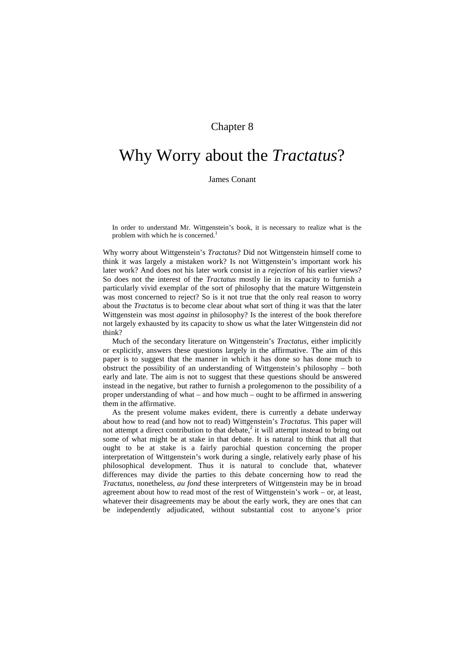# Chapter 8

# Why Worry about the *Tractatus*?

James Conant

In order to understand Mr. Wittgenstein's book, it is necessary to realize what is the problem with which he is concerned.<sup>1</sup>

Why worry about Wittgenstein's *Tractatus*? Did not Wittgenstein himself come to think it was largely a mistaken work? Is not Wittgenstein's important work his later work? And does not his later work consist in a *rejection* of his earlier views? So does not the interest of the *Tractatus* mostly lie in its capacity to furnish a particularly vivid exemplar of the sort of philosophy that the mature Wittgenstein was most concerned to reject? So is it not true that the only real reason to worry about the *Tractatus* is to become clear about what sort of thing it was that the later Wittgenstein was most *against* in philosophy? Is the interest of the book therefore not largely exhausted by its capacity to show us what the later Wittgenstein did *not* think?

 Much of the secondary literature on Wittgenstein's *Tractatus*, either implicitly or explicitly, answers these questions largely in the affirmative. The aim of this paper is to suggest that the manner in which it has done so has done much to obstruct the possibility of an understanding of Wittgenstein's philosophy – both early and late. The aim is not to suggest that these questions should be answered instead in the negative, but rather to furnish a prolegomenon to the possibility of a proper understanding of what – and how much – ought to be affirmed in answering them in the affirmative.

 As the present volume makes evident, there is currently a debate underway about how to read (and how not to read) Wittgenstein's *Tractatus.* This paper will not attempt a direct contribution to that debate, $2$  it will attempt instead to bring out some of what might be at stake in that debate. It is natural to think that all that ought to be at stake is a fairly parochial question concerning the proper interpretation of Wittgenstein's work during a single, relatively early phase of his philosophical development. Thus it is natural to conclude that, whatever differences may divide the parties to this debate concerning how to read the *Tractatus*, nonetheless, *au fond* these interpreters of Wittgenstein may be in broad agreement about how to read most of the rest of Wittgenstein's work – or, at least, whatever their disagreements may be about the early work, they are ones that can be independently adjudicated, without substantial cost to anyone's prior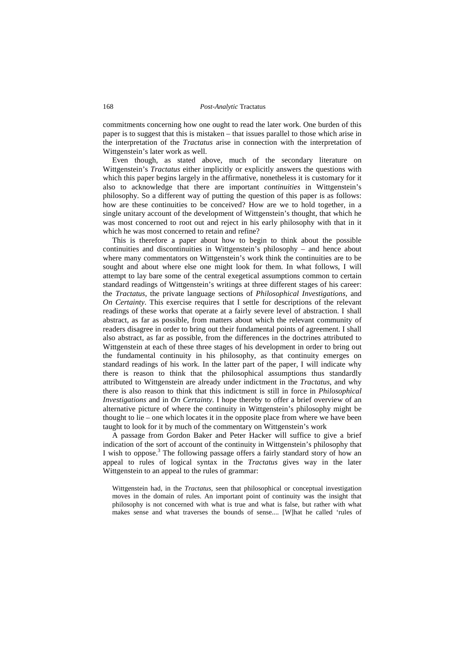commitments concerning how one ought to read the later work. One burden of this paper is to suggest that this is mistaken – that issues parallel to those which arise in the interpretation of the *Tractatus* arise in connection with the interpretation of Wittgenstein's later work as well.

 Even though, as stated above, much of the secondary literature on Wittgenstein's *Tractatus* either implicitly or explicitly answers the questions with which this paper begins largely in the affirmative, nonetheless it is customary for it also to acknowledge that there are important *continuities* in Wittgenstein's philosophy. So a different way of putting the question of this paper is as follows: how are these continuities to be conceived? How are we to hold together, in a single unitary account of the development of Wittgenstein's thought, that which he was most concerned to root out and reject in his early philosophy with that in it which he was most concerned to retain and refine?

 This is therefore a paper about how to begin to think about the possible continuities and discontinuities in Wittgenstein's philosophy – and hence about where many commentators on Wittgenstein's work think the continuities are to be sought and about where else one might look for them. In what follows, I will attempt to lay bare some of the central exegetical assumptions common to certain standard readings of Wittgenstein's writings at three different stages of his career: the *Tractatus*, the private language sections of *Philosophical Investigations*, and *On Certainty*. This exercise requires that I settle for descriptions of the relevant readings of these works that operate at a fairly severe level of abstraction. I shall abstract, as far as possible, from matters about which the relevant community of readers disagree in order to bring out their fundamental points of agreement. I shall also abstract, as far as possible, from the differences in the doctrines attributed to Wittgenstein at each of these three stages of his development in order to bring out the fundamental continuity in his philosophy, as that continuity emerges on standard readings of his work. In the latter part of the paper, I will indicate why there is reason to think that the philosophical assumptions thus standardly attributed to Wittgenstein are already under indictment in the *Tractatus*, and why there is also reason to think that this indictment is still in force in *Philosophical Investigations* and in *On Certainty.* I hope thereby to offer a brief overview of an alternative picture of where the continuity in Wittgenstein's philosophy might be thought to lie – one which locates it in the opposite place from where we have been taught to look for it by much of the commentary on Wittgenstein's work

 A passage from Gordon Baker and Peter Hacker will suffice to give a brief indication of the sort of account of the continuity in Wittgenstein's philosophy that I wish to oppose.<sup>3</sup> The following passage offers a fairly standard story of how an appeal to rules of logical syntax in the *Tractatus* gives way in the later Wittgenstein to an appeal to the rules of grammar:

Wittgenstein had, in the *Tractatus,* seen that philosophical or conceptual investigation moves in the domain of rules. An important point of continuity was the insight that philosophy is not concerned with what is true and what is false, but rather with what makes sense and what traverses the bounds of sense.... [W]hat he called 'rules of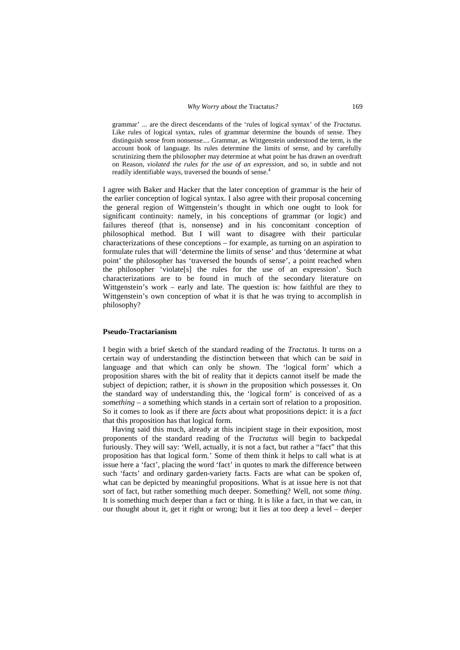grammar' ... are the direct descendants of the 'rules of logical syntax' of the *Tractatus.* Like rules of logical syntax, rules of grammar determine the bounds of sense. They distinguish sense from nonsense.... Grammar, as Wittgenstein understood the term, is the account book of language. Its rules determine the limits of sense, and by carefully scrutinizing them the philosopher may determine at what point he has drawn an overdraft on Reason, *violated the rules for the use of an expression*, and so, in subtle and not readily identifiable ways, traversed the bounds of sense.<sup>4</sup>

I agree with Baker and Hacker that the later conception of grammar is the heir of the earlier conception of logical syntax. I also agree with their proposal concerning the general region of Wittgenstein's thought in which one ought to look for significant continuity: namely, in his conceptions of grammar (or logic) and failures thereof (that is, nonsense) and in his concomitant conception of philosophical method. But I will want to disagree with their particular characterizations of these conceptions – for example, as turning on an aspiration to formulate rules that will 'determine the limits of sense' and thus 'determine at what point' the philosopher has 'traversed the bounds of sense', a point reached when the philosopher 'violate[s] the rules for the use of an expression'. Such characterizations are to be found in much of the secondary literature on Wittgenstein's work – early and late. The question is: how faithful are they to Wittgenstein's own conception of what it is that he was trying to accomplish in philosophy?

#### **Pseudo-Tractarianism**

I begin with a brief sketch of the standard reading of the *Tractatus*. It turns on a certain way of understanding the distinction between that which can be *said* in language and that which can only be *shown*. The 'logical form' which a proposition shares with the bit of reality that it depicts cannot itself be made the subject of depiction; rather, it is *shown* in the proposition which possesses it. On the standard way of understanding this, the 'logical form' is conceived of as a *something* – a something which stands in a certain sort of relation to a proposition. So it comes to look as if there are *facts* about what propositions depict: it is a *fact* that this proposition has that logical form.

 Having said this much, already at this incipient stage in their exposition, most proponents of the standard reading of the *Tractatus* will begin to backpedal furiously. They will say: 'Well, actually, it is not a fact, but rather a "fact" that this proposition has that logical form.' Some of them think it helps to call what is at issue here a 'fact', placing the word 'fact' in quotes to mark the difference between such 'facts' and ordinary garden-variety facts. Facts are what can be spoken of, what can be depicted by meaningful propositions. What is at issue here is not that sort of fact, but rather something much deeper. Something? Well, not some *thing*. It is something much deeper than a fact or thing. It is like a fact, in that we can, in our thought about it, get it right or wrong; but it lies at too deep a level – deeper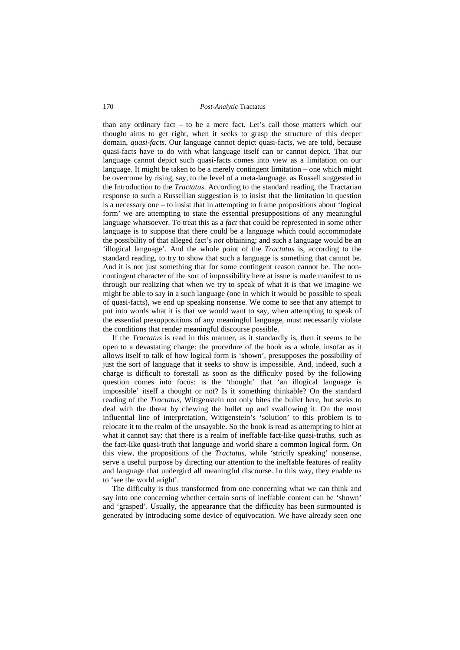than any ordinary fact – to be a mere fact. Let's call those matters which our thought aims to get right, when it seeks to grasp the structure of this deeper domain, *quasi-facts*. Our language cannot depict quasi-facts, we are told, because quasi-facts have to do with what language itself can or cannot depict. That our language cannot depict such quasi-facts comes into view as a limitation on our language. It might be taken to be a merely contingent limitation – one which might be overcome by rising, say, to the level of a meta-language, as Russell suggested in the Introduction to the *Tractatus*. According to the standard reading, the Tractarian response to such a Russellian suggestion is to insist that the limitation in question is a necessary one – to insist that in attempting to frame propositions about 'logical form' we are attempting to state the essential presuppositions of any meaningful language whatsoever. To treat this as a *fact* that could be represented in some other language is to suppose that there could be a language which could accommodate the possibility of that alleged fact's *not* obtaining; and such a language would be an 'illogical language'. And the whole point of the *Tractatus* is, according to the standard reading, to try to show that such a language is something that cannot be. And it is not just something that for some contingent reason cannot be. The noncontingent character of the sort of impossibility here at issue is made manifest to us through our realizing that when we try to speak of what it is that we imagine we might be able to say in a such language (one in which it would be possible to speak of quasi-facts), we end up speaking nonsense. We come to see that any attempt to put into words what it is that we would want to say, when attempting to speak of the essential presuppositions of any meaningful language, must necessarily violate the conditions that render meaningful discourse possible.

 If the *Tractatus* is read in this manner, as it standardly is, then it seems to be open to a devastating charge: the procedure of the book as a whole, insofar as it allows itself to talk of how logical form is 'shown', presupposes the possibility of just the sort of language that it seeks to show is impossible. And, indeed, such a charge is difficult to forestall as soon as the difficulty posed by the following question comes into focus: is the 'thought' that 'an illogical language is impossible' itself a thought or not? Is it something thinkable? On the standard reading of the *Tractatus*, Wittgenstein not only bites the bullet here, but seeks to deal with the threat by chewing the bullet up and swallowing it. On the most influential line of interpretation, Wittgenstein's 'solution' to this problem is to relocate it to the realm of the unsayable. So the book is read as attempting to hint at what it cannot say: that there is a realm of ineffable fact-like quasi-truths, such as the fact-like quasi-truth that language and world share a common logical form. On this view, the propositions of the *Tractatus*, while 'strictly speaking' nonsense, serve a useful purpose by directing our attention to the ineffable features of reality and language that undergird all meaningful discourse. In this way, they enable us to 'see the world aright'.

 The difficulty is thus transformed from one concerning what we can think and say into one concerning whether certain sorts of ineffable content can be 'shown' and 'grasped'. Usually, the appearance that the difficulty has been surmounted is generated by introducing some device of equivocation. We have already seen one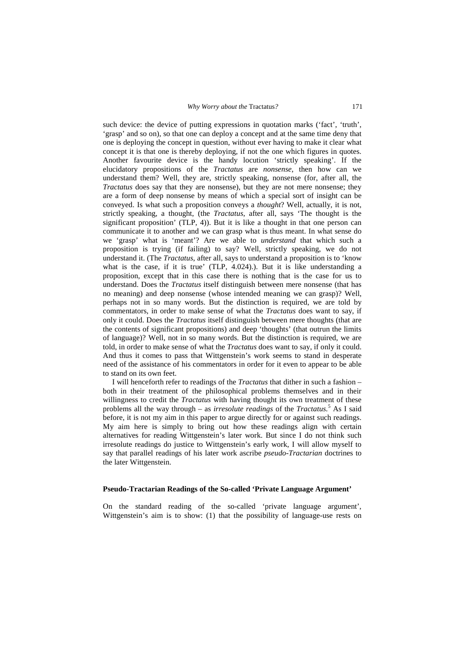such device: the device of putting expressions in quotation marks ('fact', 'truth', 'grasp' and so on), so that one can deploy a concept and at the same time deny that one is deploying the concept in question, without ever having to make it clear what concept it is that one is thereby deploying, if not the one which figures in quotes. Another favourite device is the handy locution 'strictly speaking'. If the elucidatory propositions of the *Tractatus* are *nonsense*, then how can we understand them? Well, they are, strictly speaking, nonsense (for, after all, the *Tractatus* does say that they are nonsense), but they are not mere nonsense; they are a form of deep nonsense by means of which a special sort of insight can be conveyed. Is what such a proposition conveys a *thought*? Well, actually, it is not, strictly speaking, a thought, (the *Tractatus*, after all, says 'The thought is the significant proposition' (TLP, 4)). But it is like a thought in that one person can communicate it to another and we can grasp what is thus meant. In what sense do we 'grasp' what is 'meant'? Are we able to *understand* that which such a proposition is trying (if failing) to say? Well, strictly speaking, we do not understand it. (The *Tractatus*, after all, says to understand a proposition is to 'know what is the case, if it is true' (TLP, 4.024).). But it is like understanding a proposition, except that in this case there is nothing that is the case for us to understand. Does the *Tractatus* itself distinguish between mere nonsense (that has no meaning) and deep nonsense (whose intended meaning we can grasp)? Well, perhaps not in so many words. But the distinction is required, we are told by commentators, in order to make sense of what the *Tractatus* does want to say, if only it could. Does the *Tractatus* itself distinguish between mere thoughts (that are the contents of significant propositions) and deep 'thoughts' (that outrun the limits of language)? Well, not in so many words. But the distinction is required, we are told, in order to make sense of what the *Tractatus* does want to say, if only it could. And thus it comes to pass that Wittgenstein's work seems to stand in desperate need of the assistance of his commentators in order for it even to appear to be able to stand on its own feet.

 I will henceforth refer to readings of the *Tractatus* that dither in such a fashion – both in their treatment of the philosophical problems themselves and in their willingness to credit the *Tractatus* with having thought its own treatment of these problems all the way through – as *irresolute readings* of the *Tractatus.*<sup>5</sup> As I said before, it is not my aim in this paper to argue directly for or against such readings. My aim here is simply to bring out how these readings align with certain alternatives for reading Wittgenstein's later work. But since I do not think such irresolute readings do justice to Wittgenstein's early work, I will allow myself to say that parallel readings of his later work ascribe *pseudo-Tractarian* doctrines to the later Wittgenstein.

#### **Pseudo-Tractarian Readings of the So-called 'Private Language Argument'**

On the standard reading of the so-called 'private language argument', Wittgenstein's aim is to show: (1) that the possibility of language-use rests on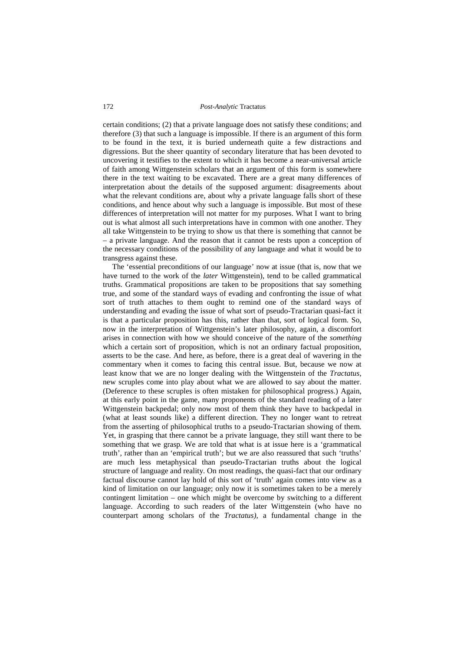certain conditions; (2) that a private language does not satisfy these conditions; and therefore (3) that such a language is impossible. If there is an argument of this form to be found in the text, it is buried underneath quite a few distractions and digressions. But the sheer quantity of secondary literature that has been devoted to uncovering it testifies to the extent to which it has become a near-universal article of faith among Wittgenstein scholars that an argument of this form is somewhere there in the text waiting to be excavated. There are a great many differences of interpretation about the details of the supposed argument: disagreements about what the relevant conditions are, about why a private language falls short of these conditions, and hence about why such a language is impossible. But most of these differences of interpretation will not matter for my purposes. What I want to bring out is what almost all such interpretations have in common with one another. They all take Wittgenstein to be trying to show us that there is something that cannot be – a private language. And the reason that it cannot be rests upon a conception of the necessary conditions of the possibility of any language and what it would be to transgress against these.

 The 'essential preconditions of our language' now at issue (that is, now that we have turned to the work of the *later* Wittgenstein), tend to be called grammatical truths. Grammatical propositions are taken to be propositions that say something true, and some of the standard ways of evading and confronting the issue of what sort of truth attaches to them ought to remind one of the standard ways of understanding and evading the issue of what sort of pseudo-Tractarian quasi-fact it is that a particular proposition has this, rather than that, sort of logical form. So, now in the interpretation of Wittgenstein's later philosophy, again, a discomfort arises in connection with how we should conceive of the nature of the *something* which a certain sort of proposition, which is not an ordinary factual proposition, asserts to be the case. And here, as before, there is a great deal of wavering in the commentary when it comes to facing this central issue. But, because we now at least know that we are no longer dealing with the Wittgenstein of the *Tractatus*, new scruples come into play about what we are allowed to say about the matter. (Deference to these scruples is often mistaken for philosophical progress.) Again, at this early point in the game, many proponents of the standard reading of a later Wittgenstein backpedal; only now most of them think they have to backpedal in (what at least sounds like) a different direction. They no longer want to retreat from the asserting of philosophical truths to a pseudo-Tractarian showing of them. Yet, in grasping that there cannot be a private language, they still want there to be something that we grasp. We are told that what is at issue here is a 'grammatical truth', rather than an 'empirical truth'; but we are also reassured that such 'truths' are much less metaphysical than pseudo-Tractarian truths about the logical structure of language and reality. On most readings, the quasi-fact that our ordinary factual discourse cannot lay hold of this sort of 'truth' again comes into view as a kind of limitation on our language; only now it is sometimes taken to be a merely contingent limitation – one which might be overcome by switching to a different language. According to such readers of the later Wittgenstein (who have no counterpart among scholars of the *Tractatus)*, a fundamental change in the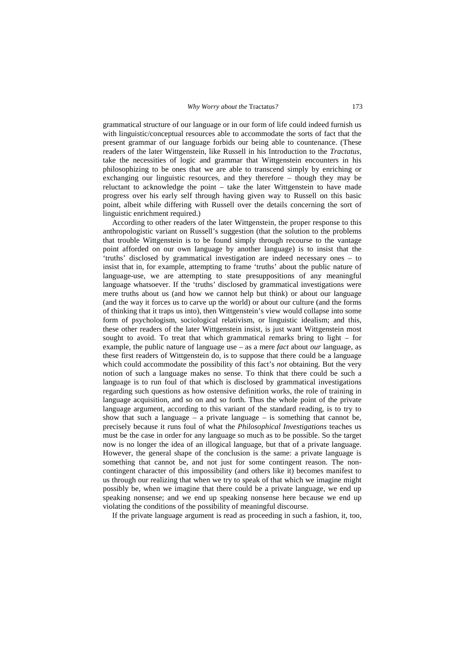grammatical structure of our language or in our form of life could indeed furnish us with linguistic/conceptual resources able to accommodate the sorts of fact that the present grammar of our language forbids our being able to countenance. (These readers of the later Wittgenstein, like Russell in his Introduction to the *Tractatus*, take the necessities of logic and grammar that Wittgenstein encounters in his philosophizing to be ones that we are able to transcend simply by enriching or exchanging our linguistic resources, and they therefore – though they may be reluctant to acknowledge the point – take the later Wittgenstein to have made progress over his early self through having given way to Russell on this basic point, albeit while differing with Russell over the details concerning the sort of linguistic enrichment required.)

 According to other readers of the later Wittgenstein, the proper response to this anthropologistic variant on Russell's suggestion (that the solution to the problems that trouble Wittgenstein is to be found simply through recourse to the vantage point afforded on our own language by another language) is to insist that the 'truths' disclosed by grammatical investigation are indeed necessary ones – to insist that in, for example, attempting to frame 'truths' about the public nature of language-use, we are attempting to state presuppositions of any meaningful language whatsoever. If the 'truths' disclosed by grammatical investigations were mere truths about us (and how we cannot help but think) or about our language (and the way it forces us to carve up the world) or about our culture (and the forms of thinking that it traps us into), then Wittgenstein's view would collapse into some form of psychologism, sociological relativism, or linguistic idealism; and this, these other readers of the later Wittgenstein insist, is just want Wittgenstein most sought to avoid. To treat that which grammatical remarks bring to light – for example, the public nature of language use – as a mere *fact* about *our* language, as these first readers of Wittgenstein do, is to suppose that there could be a language which could accommodate the possibility of this fact's *not* obtaining. But the very notion of such a language makes no sense. To think that there could be such a language is to run foul of that which is disclosed by grammatical investigations regarding such questions as how ostensive definition works, the role of training in language acquisition, and so on and so forth. Thus the whole point of the private language argument, according to this variant of the standard reading, is to try to show that such a language – a private language – is something that cannot be, precisely because it runs foul of what the *Philosophical Investigations* teaches us must be the case in order for any language so much as to be possible. So the target now is no longer the idea of an illogical language, but that of a private language. However, the general shape of the conclusion is the same: a private language is something that cannot be, and not just for some contingent reason. The noncontingent character of this impossibility (and others like it) becomes manifest to us through our realizing that when we try to speak of that which we imagine might possibly be, when we imagine that there could be a private language, we end up speaking nonsense; and we end up speaking nonsense here because we end up violating the conditions of the possibility of meaningful discourse.

If the private language argument is read as proceeding in such a fashion, it, too,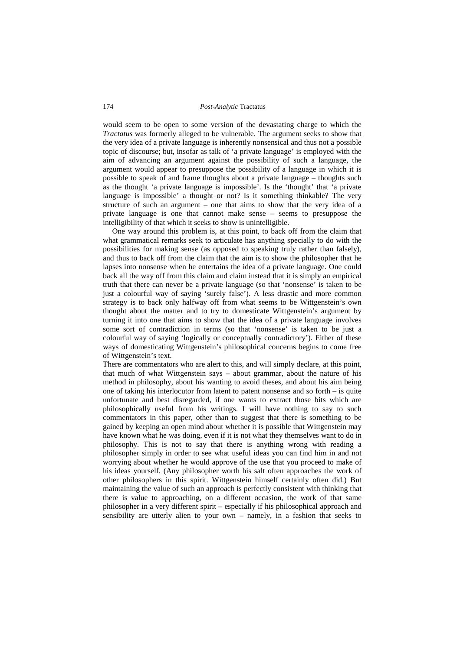would seem to be open to some version of the devastating charge to which the *Tractatus* was formerly alleged to be vulnerable. The argument seeks to show that the very idea of a private language is inherently nonsensical and thus not a possible topic of discourse; but, insofar as talk of 'a private language' is employed with the aim of advancing an argument against the possibility of such a language, the argument would appear to presuppose the possibility of a language in which it is possible to speak of and frame thoughts about a private language – thoughts such as the thought 'a private language is impossible'. Is the 'thought' that 'a private language is impossible' a thought or not? Is it something thinkable? The very structure of such an argument – one that aims to show that the very idea of a private language is one that cannot make sense – seems to presuppose the intelligibility of that which it seeks to show is unintelligible.

 One way around this problem is, at this point, to back off from the claim that what grammatical remarks seek to articulate has anything specially to do with the possibilities for making sense (as opposed to speaking truly rather than falsely), and thus to back off from the claim that the aim is to show the philosopher that he lapses into nonsense when he entertains the idea of a private language. One could back all the way off from this claim and claim instead that it is simply an empirical truth that there can never be a private language (so that 'nonsense' is taken to be just a colourful way of saying 'surely false'). A less drastic and more common strategy is to back only halfway off from what seems to be Wittgenstein's own thought about the matter and to try to domesticate Wittgenstein's argument by turning it into one that aims to show that the idea of a private language involves some sort of contradiction in terms (so that 'nonsense' is taken to be just a colourful way of saying 'logically or conceptually contradictory'). Either of these ways of domesticating Wittgenstein's philosophical concerns begins to come free of Wittgenstein's text.

There are commentators who are alert to this, and will simply declare, at this point, that much of what Wittgenstein says – about grammar, about the nature of his method in philosophy, about his wanting to avoid theses, and about his aim being one of taking his interlocutor from latent to patent nonsense and so forth – is quite unfortunate and best disregarded, if one wants to extract those bits which are philosophically useful from his writings. I will have nothing to say to such commentators in this paper, other than to suggest that there is something to be gained by keeping an open mind about whether it is possible that Wittgenstein may have known what he was doing, even if it is not what they themselves want to do in philosophy. This is not to say that there is anything wrong with reading a philosopher simply in order to see what useful ideas you can find him in and not worrying about whether he would approve of the use that you proceed to make of his ideas yourself. (Any philosopher worth his salt often approaches the work of other philosophers in this spirit. Wittgenstein himself certainly often did.) But maintaining the value of such an approach is perfectly consistent with thinking that there is value to approaching, on a different occasion, the work of that same philosopher in a very different spirit – especially if his philosophical approach and sensibility are utterly alien to your own – namely, in a fashion that seeks to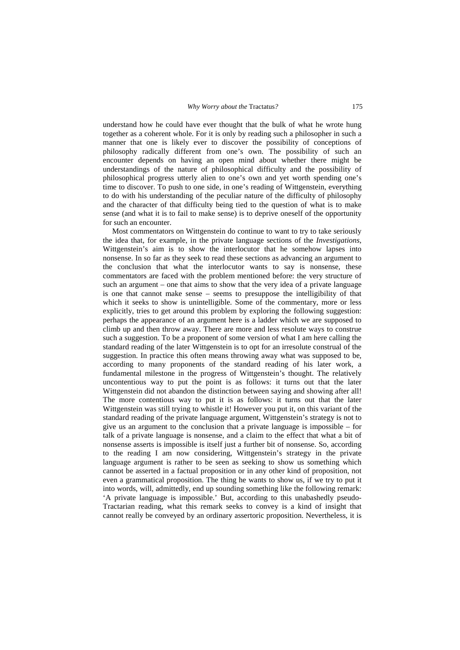understand how he could have ever thought that the bulk of what he wrote hung together as a coherent whole. For it is only by reading such a philosopher in such a manner that one is likely ever to discover the possibility of conceptions of philosophy radically different from one's own. The possibility of such an encounter depends on having an open mind about whether there might be understandings of the nature of philosophical difficulty and the possibility of philosophical progress utterly alien to one's own and yet worth spending one's time to discover. To push to one side, in one's reading of Wittgenstein, everything to do with his understanding of the peculiar nature of the difficulty of philosophy and the character of that difficulty being tied to the question of what is to make sense (and what it is to fail to make sense) is to deprive oneself of the opportunity for such an encounter.

 Most commentators on Wittgenstein do continue to want to try to take seriously the idea that, for example, in the private language sections of the *Investigations*, Wittgenstein's aim is to show the interlocutor that he somehow lapses into nonsense. In so far as they seek to read these sections as advancing an argument to the conclusion that what the interlocutor wants to say is nonsense, these commentators are faced with the problem mentioned before: the very structure of such an argument – one that aims to show that the very idea of a private language is one that cannot make sense – seems to presuppose the intelligibility of that which it seeks to show is unintelligible. Some of the commentary, more or less explicitly, tries to get around this problem by exploring the following suggestion: perhaps the appearance of an argument here is a ladder which we are supposed to climb up and then throw away. There are more and less resolute ways to construe such a suggestion. To be a proponent of some version of what I am here calling the standard reading of the later Wittgenstein is to opt for an irresolute construal of the suggestion. In practice this often means throwing away what was supposed to be, according to many proponents of the standard reading of his later work, a fundamental milestone in the progress of Wittgenstein's thought. The relatively uncontentious way to put the point is as follows: it turns out that the later Wittgenstein did not abandon the distinction between saying and showing after all! The more contentious way to put it is as follows: it turns out that the later Wittgenstein was still trying to whistle it! However you put it, on this variant of the standard reading of the private language argument, Wittgenstein's strategy is not to give us an argument to the conclusion that a private language is impossible – for talk of a private language is nonsense, and a claim to the effect that what a bit of nonsense asserts is impossible is itself just a further bit of nonsense. So, according to the reading I am now considering, Wittgenstein's strategy in the private language argument is rather to be seen as seeking to show us something which cannot be asserted in a factual proposition or in any other kind of proposition, not even a grammatical proposition. The thing he wants to show us, if we try to put it into words, will, admittedly, end up sounding something like the following remark: 'A private language is impossible.' But, according to this unabashedly pseudo-Tractarian reading, what this remark seeks to convey is a kind of insight that cannot really be conveyed by an ordinary assertoric proposition. Nevertheless, it is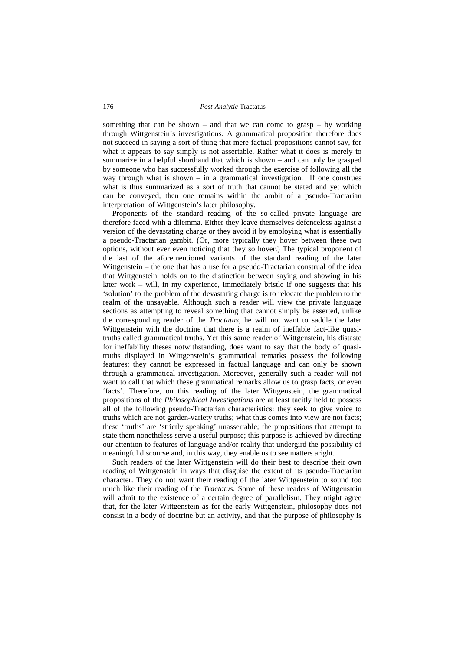something that can be shown – and that we can come to grasp – by working through Wittgenstein's investigations. A grammatical proposition therefore does not succeed in saying a sort of thing that mere factual propositions cannot say, for what it appears to say simply is not assertable. Rather what it does is merely to summarize in a helpful shorthand that which is shown – and can only be grasped by someone who has successfully worked through the exercise of following all the way through what is shown – in a grammatical investigation. If one construes what is thus summarized as a sort of truth that cannot be stated and yet which can be conveyed, then one remains within the ambit of a pseudo-Tractarian interpretation of Wittgenstein's later philosophy.

 Proponents of the standard reading of the so-called private language are therefore faced with a dilemma. Either they leave themselves defenceless against a version of the devastating charge or they avoid it by employing what is essentially a pseudo-Tractarian gambit. (Or, more typically they hover between these two options, without ever even noticing that they so hover.) The typical proponent of the last of the aforementioned variants of the standard reading of the later Wittgenstein – the one that has a use for a pseudo-Tractarian construal of the idea that Wittgenstein holds on to the distinction between saying and showing in his later work – will, in my experience, immediately bristle if one suggests that his 'solution' to the problem of the devastating charge is to relocate the problem to the realm of the unsayable. Although such a reader will view the private language sections as attempting to reveal something that cannot simply be asserted, unlike the corresponding reader of the *Tractatus*, he will not want to saddle the later Wittgenstein with the doctrine that there is a realm of ineffable fact-like quasitruths called grammatical truths. Yet this same reader of Wittgenstein, his distaste for ineffability theses notwithstanding, does want to say that the body of quasitruths displayed in Wittgenstein's grammatical remarks possess the following features: they cannot be expressed in factual language and can only be shown through a grammatical investigation. Moreover, generally such a reader will not want to call that which these grammatical remarks allow us to grasp facts, or even 'facts'. Therefore, on this reading of the later Wittgenstein, the grammatical propositions of the *Philosophical Investigations* are at least tacitly held to possess all of the following pseudo-Tractarian characteristics: they seek to give voice to truths which are not garden-variety truths; what thus comes into view are not facts; these 'truths' are 'strictly speaking' unassertable; the propositions that attempt to state them nonetheless serve a useful purpose; this purpose is achieved by directing our attention to features of language and/or reality that undergird the possibility of meaningful discourse and, in this way, they enable us to see matters aright.

 Such readers of the later Wittgenstein will do their best to describe their own reading of Wittgenstein in ways that disguise the extent of its pseudo-Tractarian character. They do not want their reading of the later Wittgenstein to sound too much like their reading of the *Tractatus*. Some of these readers of Wittgenstein will admit to the existence of a certain degree of parallelism. They might agree that, for the later Wittgenstein as for the early Wittgenstein, philosophy does not consist in a body of doctrine but an activity, and that the purpose of philosophy is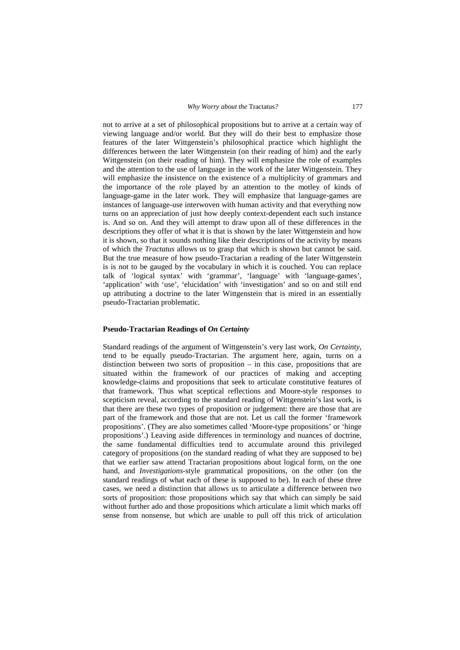not to arrive at a set of philosophical propositions but to arrive at a certain way of viewing language and/or world. But they will do their best to emphasize those features of the later Wittgenstein's philosophical practice which highlight the differences between the later Wittgenstein (on their reading of him) and the early Wittgenstein (on their reading of him). They will emphasize the role of examples and the attention to the use of language in the work of the later Wittgenstein. They will emphasize the insistence on the existence of a multiplicity of grammars and the importance of the role played by an attention to the motley of kinds of language-game in the later work. They will emphasize that language-games are instances of language-use interwoven with human activity and that everything now turns on an appreciation of just how deeply context-dependent each such instance is. And so on. And they will attempt to draw upon all of these differences in the descriptions they offer of what it is that is shown by the later Wittgenstein and how it is shown, so that it sounds nothing like their descriptions of the activity by means of which the *Tractatus* allows us to grasp that which is shown but cannot be said. But the true measure of how pseudo-Tractarian a reading of the later Wittgenstein is is not to be gauged by the vocabulary in which it is couched. You can replace talk of 'logical syntax' with 'grammar', 'language' with 'language-games', 'application' with 'use', 'elucidation' with 'investigation' and so on and still end up attributing a doctrine to the later Wittgenstein that is mired in an essentially pseudo-Tractarian problematic.

### **Pseudo-Tractarian Readings of** *On Certainty*

Standard readings of the argument of Wittgenstein's very last work, *On Certainty*, tend to be equally pseudo-Tractarian. The argument here, again, turns on a distinction between two sorts of proposition – in this case, propositions that are situated within the framework of our practices of making and accepting knowledge-claims and propositions that seek to articulate constitutive features of that framework. Thus what sceptical reflections and Moore-style responses to scepticism reveal, according to the standard reading of Wittgenstein's last work, is that there are these two types of proposition or judgement: there are those that are part of the framework and those that are not. Let us call the former 'framework propositions'. (They are also sometimes called 'Moore-type propositions' or 'hinge propositions'.) Leaving aside differences in terminology and nuances of doctrine, the same fundamental difficulties tend to accumulate around this privileged category of propositions (on the standard reading of what they are supposed to be) that we earlier saw attend Tractarian propositions about logical form, on the one hand, and *Investigations*-style grammatical propositions, on the other (on the standard readings of what each of these is supposed to be). In each of these three cases, we need a distinction that allows us to articulate a difference between two sorts of proposition: those propositions which say that which can simply be said without further ado and those propositions which articulate a limit which marks off sense from nonsense, but which are unable to pull off this trick of articulation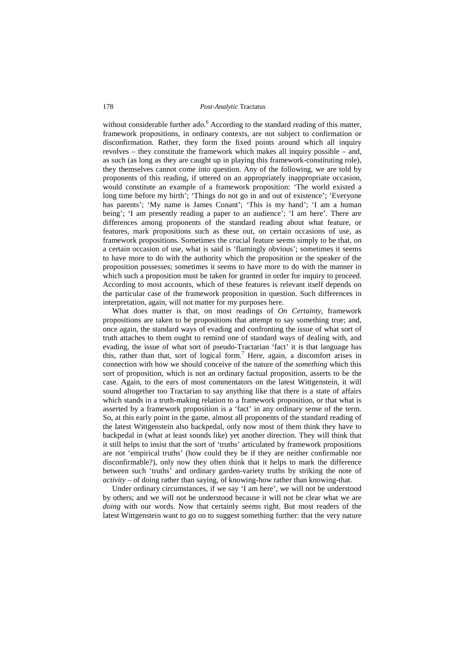without considerable further ado.<sup>6</sup> According to the standard reading of this matter, framework propositions, in ordinary contexts, are not subject to confirmation or disconfirmation. Rather, they form the fixed points around which all inquiry revolves – they constitute the framework which makes all inquiry possible – and, as such (as long as they are caught up in playing this framework-constituting role), they themselves cannot come into question. Any of the following, we are told by proponents of this reading, if uttered on an appropriately inappropriate occasion, would constitute an example of a framework proposition: 'The world existed a long time before my birth'; 'Things do not go in and out of existence'; 'Everyone has parents'; 'My name is James Conant'; 'This is my hand'; 'I am a human being'; 'I am presently reading a paper to an audience'; 'I am here'. There are differences among proponents of the standard reading about what feature, or features, mark propositions such as these out, on certain occasions of use, as framework propositions. Sometimes the crucial feature seems simply to be that, on a certain occasion of use, what is said is 'flamingly obvious'; sometimes it seems to have more to do with the authority which the proposition or the speaker of the proposition possesses; sometimes it seems to have more to do with the manner in which such a proposition must be taken for granted in order for inquiry to proceed. According to most accounts, which of these features is relevant itself depends on the particular case of the framework proposition in question. Such differences in interpretation, again, will not matter for my purposes here.

 What does matter is that, on most readings of *On Certainty*, framework propositions are taken to be propositions that attempt to say something true; and, once again, the standard ways of evading and confronting the issue of what sort of truth attaches to them ought to remind one of standard ways of dealing with, and evading, the issue of what sort of pseudo-Tractarian 'fact' it is that language has this, rather than that, sort of logical form.<sup>7</sup> Here, again, a discomfort arises in connection with how we should conceive of the nature of the *something* which this sort of proposition, which is not an ordinary factual proposition, asserts to be the case. Again, to the ears of most commentators on the latest Wittgenstein, it will sound altogether too Tractarian to say anything like that there is a state of affairs which stands in a truth-making relation to a framework proposition, or that what is asserted by a framework proposition is a 'fact' in any ordinary sense of the term. So, at this early point in the game, almost all proponents of the standard reading of the latest Wittgenstein also backpedal, only now most of them think they have to backpedal in (what at least sounds like) yet another direction. They will think that it still helps to insist that the sort of 'truths' articulated by framework propositions are not 'empirical truths' (how could they be if they are neither confirmable nor disconfirmable?), only now they often think that it helps to mark the difference between such 'truths' and ordinary garden-variety truths by striking the note of *activity* – of doing rather than saying, of knowing-how rather than knowing-that.

 Under ordinary circumstances, if we say 'I am here', we will not be understood by others; and we will not be understood because it will not be clear what we are *doing* with our words. Now that certainly seems right. But most readers of the latest Wittgenstein want to go on to suggest something further: that the very nature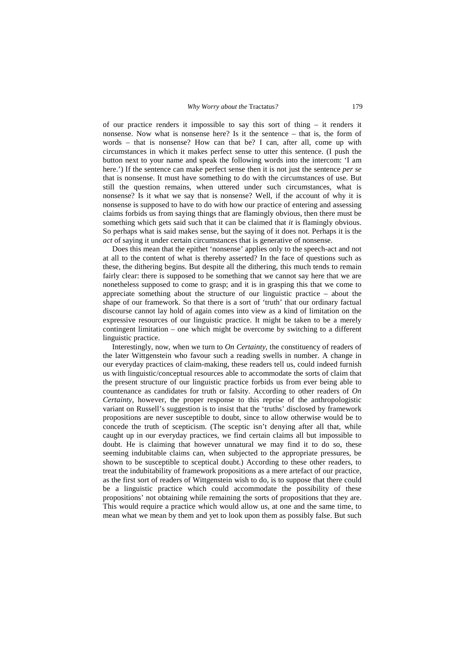of our practice renders it impossible to say this sort of thing – it renders it nonsense. Now what is nonsense here? Is it the sentence – that is, the form of words – that is nonsense? How can that be? I can, after all, come up with circumstances in which it makes perfect sense to utter this sentence. (I push the button next to your name and speak the following words into the intercom: 'I am here.') If the sentence can make perfect sense then it is not just the sentence *per se* that is nonsense. It must have something to do with the circumstances of use. But still the question remains, when uttered under such circumstances, what is nonsense? Is it what we say that is nonsense? Well, if the account of why it is nonsense is supposed to have to do with how our practice of entering and assessing claims forbids us from saying things that are flamingly obvious, then there must be something which gets said such that it can be claimed that *it* is flamingly obvious. So perhaps what is said makes sense, but the saying of it does not. Perhaps it is the *act* of saying it under certain circumstances that is generative of nonsense.

 Does this mean that the epithet 'nonsense' applies only to the speech-act and not at all to the content of what is thereby asserted? In the face of questions such as these, the dithering begins. But despite all the dithering, this much tends to remain fairly clear: there is supposed to be something that we cannot say here that we are nonetheless supposed to come to grasp; and it is in grasping this that we come to appreciate something about the structure of our linguistic practice – about the shape of our framework. So that there is a sort of 'truth' that our ordinary factual discourse cannot lay hold of again comes into view as a kind of limitation on the expressive resources of our linguistic practice. It might be taken to be a merely contingent limitation – one which might be overcome by switching to a different linguistic practice.

 Interestingly, now, when we turn to *On Certainty*, the constituency of readers of the later Wittgenstein who favour such a reading swells in number. A change in our everyday practices of claim-making, these readers tell us, could indeed furnish us with linguistic/conceptual resources able to accommodate the sorts of claim that the present structure of our linguistic practice forbids us from ever being able to countenance as candidates for truth or falsity. According to other readers of *On Certainty*, however, the proper response to this reprise of the anthropologistic variant on Russell's suggestion is to insist that the 'truths' disclosed by framework propositions are never susceptible to doubt, since to allow otherwise would be to concede the truth of scepticism. (The sceptic isn't denying after all that, while caught up in our everyday practices, we find certain claims all but impossible to doubt. He is claiming that however unnatural we may find it to do so, these seeming indubitable claims can, when subjected to the appropriate pressures, be shown to be susceptible to sceptical doubt.) According to these other readers, to treat the indubitability of framework propositions as a mere artefact of our practice, as the first sort of readers of Wittgenstein wish to do, is to suppose that there could be a linguistic practice which could accommodate the possibility of these propositions' not obtaining while remaining the sorts of propositions that they are. This would require a practice which would allow us, at one and the same time, to mean what we mean by them and yet to look upon them as possibly false. But such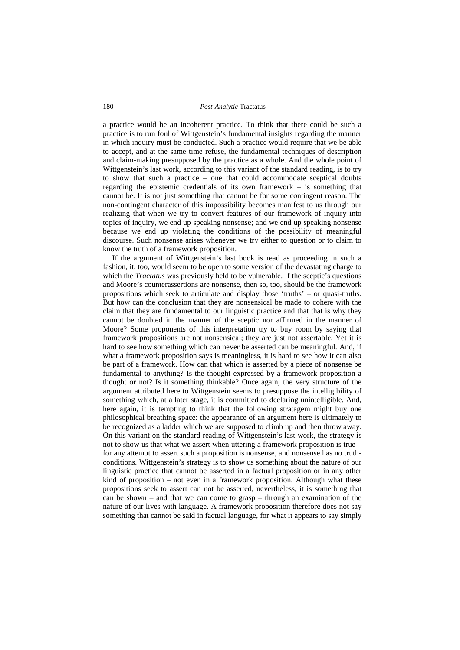a practice would be an incoherent practice. To think that there could be such a practice is to run foul of Wittgenstein's fundamental insights regarding the manner in which inquiry must be conducted. Such a practice would require that we be able to accept, and at the same time refuse, the fundamental techniques of description and claim-making presupposed by the practice as a whole. And the whole point of Wittgenstein's last work, according to this variant of the standard reading, is to try to show that such a practice – one that could accommodate sceptical doubts regarding the epistemic credentials of its own framework – is something that cannot be. It is not just something that cannot be for some contingent reason. The non-contingent character of this impossibility becomes manifest to us through our realizing that when we try to convert features of our framework of inquiry into topics of inquiry, we end up speaking nonsense; and we end up speaking nonsense because we end up violating the conditions of the possibility of meaningful discourse. Such nonsense arises whenever we try either to question or to claim to know the truth of a framework proposition.

 If the argument of Wittgenstein's last book is read as proceeding in such a fashion, it, too, would seem to be open to some version of the devastating charge to which the *Tractatus* was previously held to be vulnerable. If the sceptic's questions and Moore's counterassertions are nonsense, then so, too, should be the framework propositions which seek to articulate and display those 'truths' – or quasi-truths. But how can the conclusion that they are nonsensical be made to cohere with the claim that they are fundamental to our linguistic practice and that that is why they cannot be doubted in the manner of the sceptic nor affirmed in the manner of Moore? Some proponents of this interpretation try to buy room by saying that framework propositions are not nonsensical; they are just not assertable. Yet it is hard to see how something which can never be asserted can be meaningful. And, if what a framework proposition says is meaningless, it is hard to see how it can also be part of a framework. How can that which is asserted by a piece of nonsense be fundamental to anything? Is the thought expressed by a framework proposition a thought or not? Is it something thinkable? Once again, the very structure of the argument attributed here to Wittgenstein seems to presuppose the intelligibility of something which, at a later stage, it is committed to declaring unintelligible. And, here again, it is tempting to think that the following stratagem might buy one philosophical breathing space: the appearance of an argument here is ultimately to be recognized as a ladder which we are supposed to climb up and then throw away. On this variant on the standard reading of Wittgenstein's last work, the strategy is not to show us that what we assert when uttering a framework proposition is true – for any attempt to assert such a proposition is nonsense, and nonsense has no truthconditions. Wittgenstein's strategy is to show us something about the nature of our linguistic practice that cannot be asserted in a factual proposition or in any other kind of proposition – not even in a framework proposition. Although what these propositions seek to assert can not be asserted, nevertheless, it is something that can be shown – and that we can come to grasp – through an examination of the nature of our lives with language. A framework proposition therefore does not say something that cannot be said in factual language, for what it appears to say simply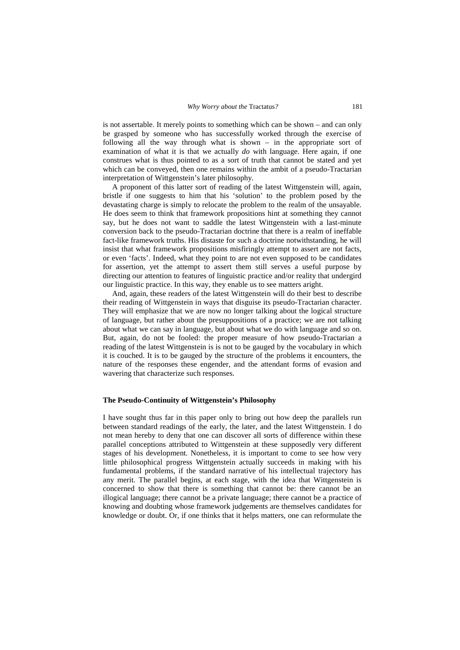is not assertable. It merely points to something which can be shown – and can only be grasped by someone who has successfully worked through the exercise of following all the way through what is shown – in the appropriate sort of examination of what it is that we actually *do* with language. Here again, if one construes what is thus pointed to as a sort of truth that cannot be stated and yet which can be conveyed, then one remains within the ambit of a pseudo-Tractarian interpretation of Wittgenstein's later philosophy.

 A proponent of this latter sort of reading of the latest Wittgenstein will, again, bristle if one suggests to him that his 'solution' to the problem posed by the devastating charge is simply to relocate the problem to the realm of the unsayable. He does seem to think that framework propositions hint at something they cannot say, but he does not want to saddle the latest Wittgenstein with a last-minute conversion back to the pseudo-Tractarian doctrine that there is a realm of ineffable fact-like framework truths. His distaste for such a doctrine notwithstanding, he will insist that what framework propositions misfiringly attempt to assert are not facts, or even 'facts'. Indeed, what they point to are not even supposed to be candidates for assertion, yet the attempt to assert them still serves a useful purpose by directing our attention to features of linguistic practice and/or reality that undergird our linguistic practice. In this way, they enable us to see matters aright.

 And, again, these readers of the latest Wittgenstein will do their best to describe their reading of Wittgenstein in ways that disguise its pseudo-Tractarian character. They will emphasize that we are now no longer talking about the logical structure of language, but rather about the presuppositions of a practice; we are not talking about what we can say in language, but about what we do with language and so on. But, again, do not be fooled: the proper measure of how pseudo-Tractarian a reading of the latest Wittgenstein is is not to be gauged by the vocabulary in which it is couched. It is to be gauged by the structure of the problems it encounters, the nature of the responses these engender, and the attendant forms of evasion and wavering that characterize such responses.

#### **The Pseudo-Continuity of Wittgenstein's Philosophy**

I have sought thus far in this paper only to bring out how deep the parallels run between standard readings of the early, the later, and the latest Wittgenstein. I do not mean hereby to deny that one can discover all sorts of difference within these parallel conceptions attributed to Wittgenstein at these supposedly very different stages of his development. Nonetheless, it is important to come to see how very little philosophical progress Wittgenstein actually succeeds in making with his fundamental problems, if the standard narrative of his intellectual trajectory has any merit. The parallel begins, at each stage, with the idea that Wittgenstein is concerned to show that there is something that cannot be: there cannot be an illogical language; there cannot be a private language; there cannot be a practice of knowing and doubting whose framework judgements are themselves candidates for knowledge or doubt. Or, if one thinks that it helps matters, one can reformulate the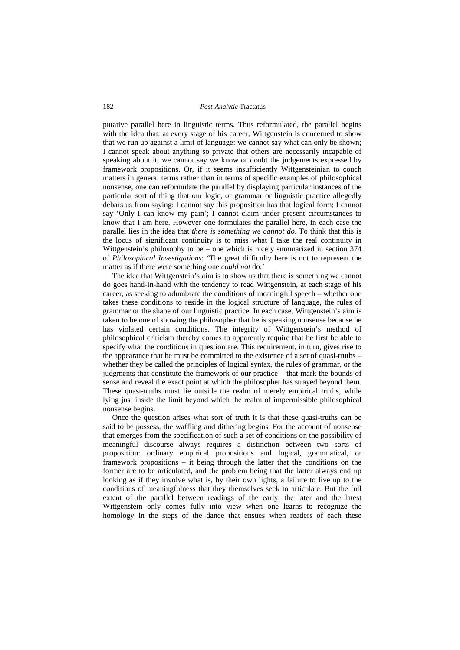putative parallel here in linguistic terms. Thus reformulated, the parallel begins with the idea that, at every stage of his career, Wittgenstein is concerned to show that we run up against a limit of language: we cannot say what can only be shown; I cannot speak about anything so private that others are necessarily incapable of speaking about it; we cannot say we know or doubt the judgements expressed by framework propositions. Or, if it seems insufficiently Wittgensteinian to couch matters in general terms rather than in terms of specific examples of philosophical nonsense, one can reformulate the parallel by displaying particular instances of the particular sort of thing that our logic, or grammar or linguistic practice allegedly debars us from saying: I cannot say this proposition has that logical form; I cannot say 'Only I can know my pain'; I cannot claim under present circumstances to know that I am here. However one formulates the parallel here, in each case the parallel lies in the idea that *there is something we cannot do*. To think that this is the locus of significant continuity is to miss what I take the real continuity in Wittgenstein's philosophy to be – one which is nicely summarized in section 374 of *Philosophical Investigations*: 'The great difficulty here is not to represent the matter as if there were something one *could not* do.'

 The idea that Wittgenstein's aim is to show us that there is something we cannot do goes hand-in-hand with the tendency to read Wittgenstein, at each stage of his career, as seeking to adumbrate the conditions of meaningful speech – whether one takes these conditions to reside in the logical structure of language, the rules of grammar or the shape of our linguistic practice. In each case, Wittgenstein's aim is taken to be one of showing the philosopher that he is speaking nonsense because he has violated certain conditions. The integrity of Wittgenstein's method of philosophical criticism thereby comes to apparently require that he first be able to specify what the conditions in question are. This requirement, in turn, gives rise to the appearance that he must be committed to the existence of a set of quasi-truths – whether they be called the principles of logical syntax, the rules of grammar, or the judgments that constitute the framework of our practice – that mark the bounds of sense and reveal the exact point at which the philosopher has strayed beyond them. These quasi-truths must lie outside the realm of merely empirical truths, while lying just inside the limit beyond which the realm of impermissible philosophical nonsense begins.

 Once the question arises what sort of truth it is that these quasi-truths can be said to be possess, the waffling and dithering begins. For the account of nonsense that emerges from the specification of such a set of conditions on the possibility of meaningful discourse always requires a distinction between two sorts of proposition: ordinary empirical propositions and logical, grammatical, or framework propositions – it being through the latter that the conditions on the former are to be articulated, and the problem being that the latter always end up looking as if they involve what is, by their own lights, a failure to live up to the conditions of meaningfulness that they themselves seek to articulate. But the full extent of the parallel between readings of the early, the later and the latest Wittgenstein only comes fully into view when one learns to recognize the homology in the steps of the dance that ensues when readers of each these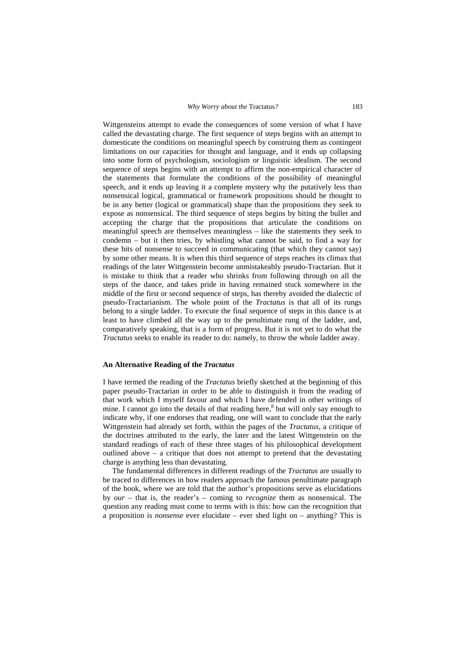Wittgensteins attempt to evade the consequences of some version of what I have called the devastating charge. The first sequence of steps begins with an attempt to domesticate the conditions on meaningful speech by construing them as contingent limitations on our capacities for thought and language, and it ends up collapsing into some form of psychologism, sociologism or linguistic idealism. The second sequence of steps begins with an attempt to affirm the non-empirical character of the statements that formulate the conditions of the possibility of meaningful speech, and it ends up leaving it a complete mystery why the putatively less than nonsensical logical, grammatical or framework propositions should be thought to be in any better (logical or grammatical) shape than the propositions they seek to expose as nonsensical. The third sequence of steps begins by biting the bullet and accepting the charge that the propositions that articulate the conditions on meaningful speech are themselves meaningless – like the statements they seek to condemn – but it then tries, by whistling what cannot be said, to find a way for these bits of nonsense to succeed in communicating (that which they cannot say) by some other means. It is when this third sequence of steps reaches its climax that readings of the later Wittgenstein become unmistakeably pseudo-Tractarian. But it is mistake to think that a reader who shrinks from following through on all the steps of the dance, and takes pride in having remained stuck somewhere in the middle of the first or second sequence of steps, has thereby avoided the dialectic of pseudo-Tractarianism. The whole point of the *Tractatus* is that all of its rungs belong to a single ladder. To execute the final sequence of steps in this dance is at least to have climbed all the way up to the penultimate rung of the ladder, and, comparatively speaking, that is a form of progress. But it is not yet to do what the *Tractatus* seeks to enable its reader to do: namely, to throw the whole ladder away.

#### **An Alternative Reading of the** *Tractatus*

I have termed the reading of the *Tractatus* briefly sketched at the beginning of this paper pseudo-Tractarian in order to be able to distinguish it from the reading of that work which I myself favour and which I have defended in other writings of mine. I cannot go into the details of that reading here, $<sup>8</sup>$  but will only say enough to</sup> indicate why, if one endorses that reading, one will want to conclude that the early Wittgenstein had already set forth, within the pages of the *Tractatus,* a critique of the doctrines attributed to the early, the later and the latest Wittgenstein on the standard readings of each of these three stages of his philosophical development outlined above – a critique that does not attempt to pretend that the devastating charge is anything less than devastating.

 The fundamental differences in different readings of the *Tractatus* are usually to be traced to differences in how readers approach the famous penultimate paragraph of the book, where we are told that the author's propositions serve as elucidations by *our* – that is, the reader's – coming to *recognize* them as nonsensical. The question any reading must come to terms with is this: how can the recognition that a proposition is *nonsense* ever elucidate – ever shed light on – anything? This is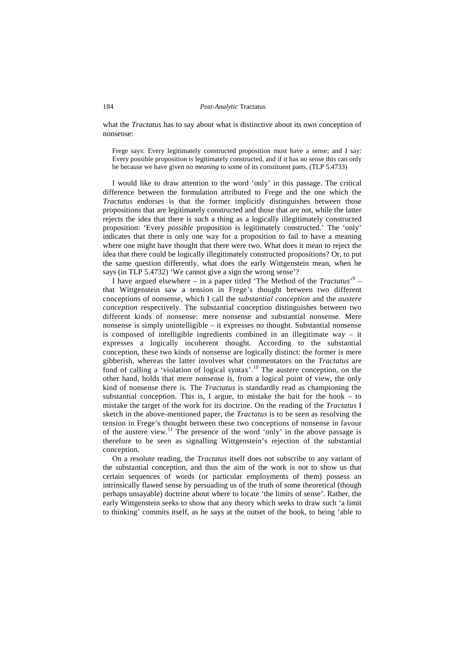what the *Tractatus* has to say about what is distinctive about its own conception of nonsense:

Frege says: Every legitimately constructed proposition must have a sense; and I say: Every possible proposition is legitimately constructed, and if it has no sense this can only be because we have given no *meaning* to some of its constituent parts. (TLP 5.4733)

 I would like to draw attention to the word 'only' in this passage. The critical difference between the formulation attributed to Frege and the one which the *Tractatus* endorses is that the former implicitly distinguishes between those propositions that are legitimately constructed and those that are not, while the latter rejects the idea that there is such a thing as a logically illegitimately constructed proposition: 'Every *possible* proposition is legitimately constructed.' The 'only' indicates that there is only one way for a proposition to fail to have a meaning where one might have thought that there were two. What does it mean to reject the idea that there could be logically illegitimately constructed propositions? Or, to put the same question differently, what does the early Wittgenstein mean, when he says (in TLP 5.4732) 'We cannot give a sign the wrong sense'?

 I have argued elsewhere – in a paper titled 'The Method of the *Tractatus*' 9 – that Wittgenstein saw a tension in Frege's thought between two different conceptions of nonsense, which I call the *substantial conception* and the *austere conception* respectively. The substantial conception distinguishes between two different kinds of nonsense: mere nonsense and substantial nonsense. Mere nonsense is simply unintelligible – it expresses no thought. Substantial nonsense is composed of intelligible ingredients combined in an illegitimate way – it expresses a logically incoherent thought. According to the substantial conception, these two kinds of nonsense are logically distinct: the former is mere gibberish, whereas the latter involves what commentators on the *Tractatus* are fond of calling a 'violation of logical syntax'.<sup>10</sup> The austere conception, on the other hand, holds that mere nonsense is, from a logical point of view, the only kind of nonsense there is. The *Tractatus* is standardly read as championing the substantial conception. This is, I argue, to mistake the bait for the hook  $-$  to mistake the target of the work for its doctrine. On the reading of the *Tractatus* I sketch in the above-mentioned paper, the *Tractatus* is to be seen as resolving the tension in Frege's thought between these two conceptions of nonsense in favour of the austere view.<sup>11</sup> The presence of the word 'only' in the above passage is therefore to be seen as signalling Wittgenstein's rejection of the substantial conception.

 On a resolute reading, the *Tractatus* itself does not subscribe to any variant of the substantial conception, and thus the aim of the work is not to show us that certain sequences of words (or particular employments of them) possess an intrinsically flawed sense by persuading us of the truth of some theoretical (though perhaps unsayable) doctrine about where to locate 'the limits of sense'. Rather, the early Wittgenstein seeks to show that any theory which seeks to draw such 'a limit to thinking' commits itself, as he says at the outset of the book, to being 'able to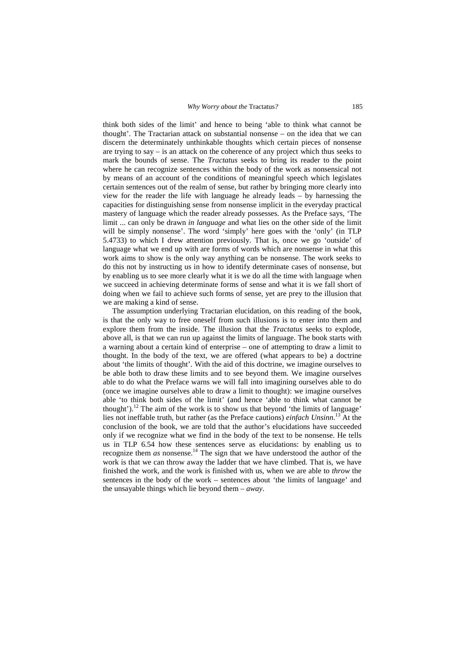think both sides of the limit' and hence to being 'able to think what cannot be thought'. The Tractarian attack on substantial nonsense – on the idea that we can discern the determinately unthinkable thoughts which certain pieces of nonsense are trying to say – is an attack on the coherence of any project which thus seeks to mark the bounds of sense. The *Tractatus* seeks to bring its reader to the point where he can recognize sentences within the body of the work as nonsensical not by means of an account of the conditions of meaningful speech which legislates certain sentences out of the realm of sense, but rather by bringing more clearly into view for the reader the life with language he already leads – by harnessing the capacities for distinguishing sense from nonsense implicit in the everyday practical mastery of language which the reader already possesses. As the Preface says, 'The limit ... can only be drawn *in language* and what lies on the other side of the limit will be simply nonsense'. The word 'simply' here goes with the 'only' (in TLP 5.4733) to which I drew attention previously. That is, once we go 'outside' of language what we end up with are forms of words which are nonsense in what this work aims to show is the only way anything can be nonsense. The work seeks to do this not by instructing us in how to identify determinate cases of nonsense, but by enabling us to see more clearly what it is we do all the time with language when we succeed in achieving determinate forms of sense and what it is we fall short of doing when we fail to achieve such forms of sense, yet are prey to the illusion that we are making a kind of sense.

 The assumption underlying Tractarian elucidation, on this reading of the book, is that the only way to free oneself from such illusions is to enter into them and explore them from the inside. The illusion that the *Tractatus* seeks to explode, above all, is that we can run up against the limits of language. The book starts with a warning about a certain kind of enterprise – one of attempting to draw a limit to thought. In the body of the text, we are offered (what appears to be) a doctrine about 'the limits of thought'. With the aid of this doctrine, we imagine ourselves to be able both to draw these limits and to see beyond them. We imagine ourselves able to do what the Preface warns we will fall into imagining ourselves able to do (once we imagine ourselves able to draw a limit to thought): we imagine ourselves able 'to think both sides of the limit' (and hence 'able to think what cannot be thought').<sup>12</sup> The aim of the work is to show us that beyond 'the limits of language' lies not ineffable truth, but rather (as the Preface cautions) *einfach Unsinn*. 13 At the conclusion of the book, we are told that the author's elucidations have succeeded only if we recognize what we find in the body of the text to be nonsense. He tells us in TLP 6.54 how these sentences serve as elucidations: by enabling us to recognize them *as* nonsense.14 The sign that we have understood the author of the work is that we can throw away the ladder that we have climbed. That is, we have finished the work, and the work is finished with us, when we are able to *throw* the sentences in the body of the work – sentences about 'the limits of language' and the unsayable things which lie beyond them – *away*.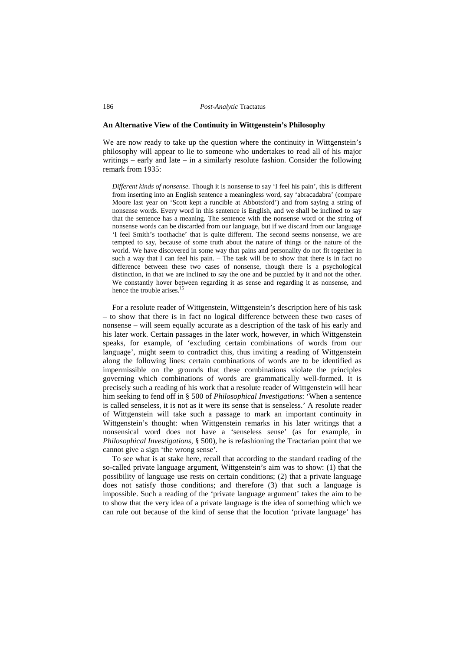#### **An Alternative View of the Continuity in Wittgenstein's Philosophy**

We are now ready to take up the question where the continuity in Wittgenstein's philosophy will appear to lie to someone who undertakes to read all of his major writings – early and late – in a similarly resolute fashion. Consider the following remark from 1935:

*Different kinds of nonsense.* Though it is nonsense to say 'I feel his pain', this is different from inserting into an English sentence a meaningless word, say 'abracadabra' (compare Moore last year on 'Scott kept a runcible at Abbotsford') and from saying a string of nonsense words. Every word in this sentence is English, and we shall be inclined to say that the sentence has a meaning. The sentence with the nonsense word or the string of nonsense words can be discarded from our language, but if we discard from our language 'I feel Smith's toothache' that is quite different. The second seems nonsense, we are tempted to say, because of some truth about the nature of things or the nature of the world. We have discovered in some way that pains and personality do not fit together in such a way that I can feel his pain. – The task will be to show that there is in fact no difference between these two cases of nonsense, though there is a psychological distinction, in that we are inclined to say the one and be puzzled by it and not the other. We constantly hover between regarding it as sense and regarding it as nonsense, and hence the trouble arises.

 For a resolute reader of Wittgenstein, Wittgenstein's description here of his task – to show that there is in fact no logical difference between these two cases of nonsense – will seem equally accurate as a description of the task of his early and his later work. Certain passages in the later work, however, in which Wittgenstein speaks, for example, of 'excluding certain combinations of words from our language', might seem to contradict this, thus inviting a reading of Wittgenstein along the following lines: certain combinations of words are to be identified as impermissible on the grounds that these combinations violate the principles governing which combinations of words are grammatically well-formed. It is precisely such a reading of his work that a resolute reader of Wittgenstein will hear him seeking to fend off in § 500 of *Philosophical Investigations*: 'When a sentence is called senseless, it is not as it were its sense that is senseless.' A resolute reader of Wittgenstein will take such a passage to mark an important continuity in Wittgenstein's thought: when Wittgenstein remarks in his later writings that a nonsensical word does not have a 'senseless sense' (as for example, in *Philosophical Investigations*, § 500), he is refashioning the Tractarian point that we cannot give a sign 'the wrong sense'.

 To see what is at stake here, recall that according to the standard reading of the so-called private language argument, Wittgenstein's aim was to show: (1) that the possibility of language use rests on certain conditions; (2) that a private language does not satisfy those conditions; and therefore (3) that such a language is impossible. Such a reading of the 'private language argument' takes the aim to be to show that the very idea of a private language is the idea of something which we can rule out because of the kind of sense that the locution 'private language' has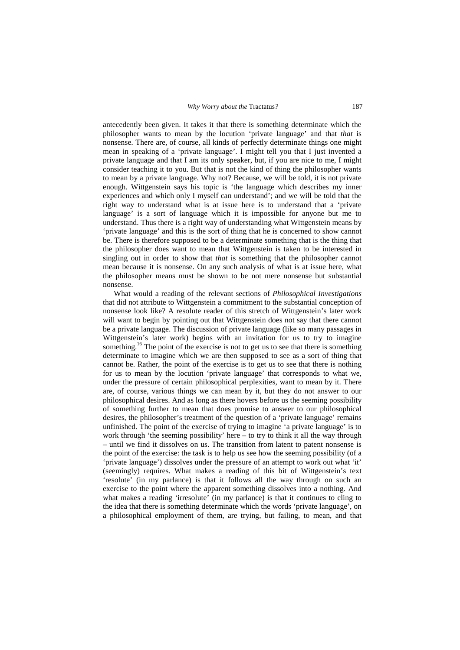antecedently been given. It takes it that there is something determinate which the philosopher wants to mean by the locution 'private language' and that *that* is nonsense. There are, of course, all kinds of perfectly determinate things one might mean in speaking of a 'private language'. I might tell you that I just invented a private language and that I am its only speaker, but, if you are nice to me, I might consider teaching it to you. But that is not the kind of thing the philosopher wants to mean by a private language. Why not? Because, we will be told, it is not private enough. Wittgenstein says his topic is 'the language which describes my inner experiences and which only I myself can understand'; and we will be told that the right way to understand what is at issue here is to understand that a 'private language' is a sort of language which it is impossible for anyone but me to understand. Thus there is a right way of understanding what Wittgenstein means by 'private language' and this is the sort of thing that he is concerned to show cannot be. There is therefore supposed to be a determinate something that is the thing that the philosopher does want to mean that Wittgenstein is taken to be interested in singling out in order to show that *that* is something that the philosopher cannot mean because it is nonsense. On any such analysis of what is at issue here, what the philosopher means must be shown to be not mere nonsense but substantial nonsense.

What would a reading of the relevant sections of *Philosophical Investigations* that did not attribute to Wittgenstein a commitment to the substantial conception of nonsense look like? A resolute reader of this stretch of Wittgenstein's later work will want to begin by pointing out that Wittgenstein does not say that there cannot be a private language. The discussion of private language (like so many passages in Wittgenstein's later work) begins with an invitation for us to try to imagine something.<sup>16</sup> The point of the exercise is not to get us to see that there is something determinate to imagine which we are then supposed to see as a sort of thing that cannot be. Rather, the point of the exercise is to get us to see that there is nothing for us to mean by the locution 'private language' that corresponds to what we, under the pressure of certain philosophical perplexities, want to mean by it. There are, of course, various things we can mean by it, but they do not answer to our philosophical desires. And as long as there hovers before us the seeming possibility of something further to mean that does promise to answer to our philosophical desires, the philosopher's treatment of the question of a 'private language' remains unfinished. The point of the exercise of trying to imagine 'a private language' is to work through 'the seeming possibility' here – to try to think it all the way through – until we find it dissolves on us. The transition from latent to patent nonsense is the point of the exercise: the task is to help us see how the seeming possibility (of a 'private language') dissolves under the pressure of an attempt to work out what 'it' (seemingly) requires. What makes a reading of this bit of Wittgenstein's text 'resolute' (in my parlance) is that it follows all the way through on such an exercise to the point where the apparent something dissolves into a nothing. And what makes a reading 'irresolute' (in my parlance) is that it continues to cling to the idea that there is something determinate which the words 'private language', on a philosophical employment of them, are trying, but failing, to mean, and that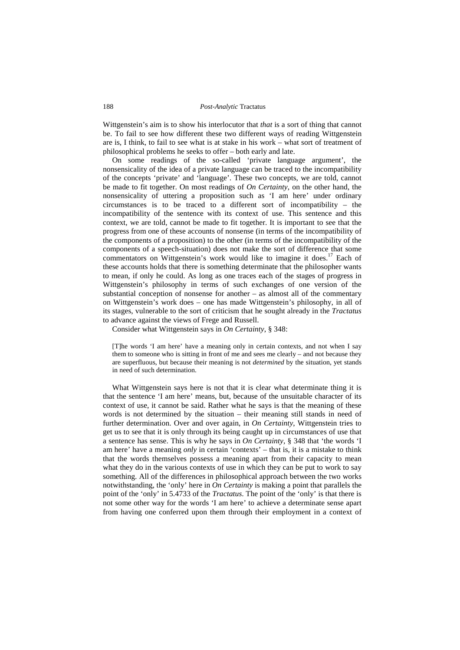Wittgenstein's aim is to show his interlocutor that *that* is a sort of thing that cannot be. To fail to see how different these two different ways of reading Wittgenstein are is, I think, to fail to see what is at stake in his work – what sort of treatment of philosophical problems he seeks to offer – both early and late.

 On some readings of the so-called 'private language argument', the nonsensicality of the idea of a private language can be traced to the incompatibility of the concepts 'private' and 'language'. These two concepts, we are told, cannot be made to fit together. On most readings of *On Certainty*, on the other hand, the nonsensicality of uttering a proposition such as 'I am here' under ordinary circumstances is to be traced to a different sort of incompatibility – the incompatibility of the sentence with its context of use. This sentence and this context, we are told, cannot be made to fit together. It is important to see that the progress from one of these accounts of nonsense (in terms of the incompatibility of the components of a proposition) to the other (in terms of the incompatibility of the components of a speech-situation) does not make the sort of difference that some commentators on Wittgenstein's work would like to imagine it does.<sup>17</sup> Each of these accounts holds that there is something determinate that the philosopher wants to mean, if only he could. As long as one traces each of the stages of progress in Wittgenstein's philosophy in terms of such exchanges of one version of the substantial conception of nonsense for another – as almost all of the commentary on Wittgenstein's work does – one has made Wittgenstein's philosophy, in all of its stages, vulnerable to the sort of criticism that he sought already in the *Tractatus* to advance against the views of Frege and Russell.

Consider what Wittgenstein says in *On Certainty*, § 348:

[T]he words 'I am here' have a meaning only in certain contexts, and not when I say them to someone who is sitting in front of me and sees me clearly – and not because they are superfluous, but because their meaning is not *determined* by the situation, yet stands in need of such determination.

 What Wittgenstein says here is not that it is clear what determinate thing it is that the sentence 'I am here' means, but, because of the unsuitable character of its context of use, it cannot be said. Rather what he says is that the meaning of these words is not determined by the situation – their meaning still stands in need of further determination. Over and over again, in *On Certainty*, Wittgenstein tries to get us to see that it is only through its being caught up in circumstances of use that a sentence has sense. This is why he says in *On Certainty*, § 348 that 'the words 'I am here' have a meaning *only* in certain 'contexts' – that is, it is a mistake to think that the words themselves possess a meaning apart from their capacity to mean what they do in the various contexts of use in which they can be put to work to say something. All of the differences in philosophical approach between the two works notwithstanding, the 'only' here in *On Certainty* is making a point that parallels the point of the 'only' in 5.4733 of the *Tractatus*. The point of the 'only' is that there is not some other way for the words 'I am here' to achieve a determinate sense apart from having one conferred upon them through their employment in a context of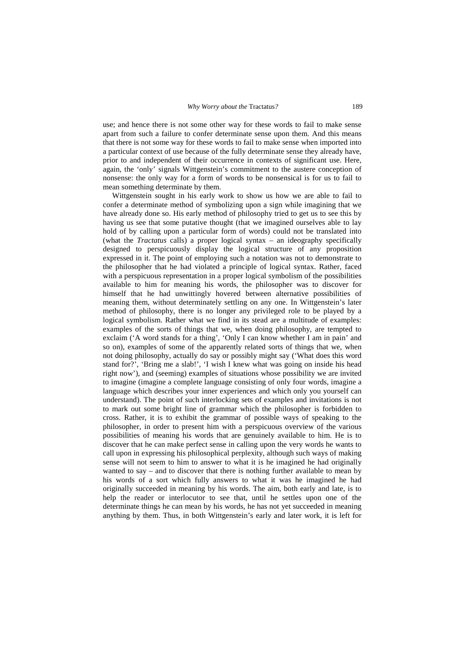use; and hence there is not some other way for these words to fail to make sense apart from such a failure to confer determinate sense upon them. And this means that there is not some way for these words to fail to make sense when imported into a particular context of use because of the fully determinate sense they already have, prior to and independent of their occurrence in contexts of significant use. Here, again, the 'only' signals Wittgenstein's commitment to the austere conception of nonsense: the only way for a form of words to be nonsensical is for us to fail to mean something determinate by them.

 Wittgenstein sought in his early work to show us how we are able to fail to confer a determinate method of symbolizing upon a sign while imagining that we have already done so. His early method of philosophy tried to get us to see this by having us see that some putative thought (that we imagined ourselves able to lay hold of by calling upon a particular form of words) could not be translated into (what the *Tractatus* calls) a proper logical syntax – an ideography specifically designed to perspicuously display the logical structure of any proposition expressed in it. The point of employing such a notation was not to demonstrate to the philosopher that he had violated a principle of logical syntax. Rather, faced with a perspicuous representation in a proper logical symbolism of the possibilities available to him for meaning his words, the philosopher was to discover for himself that he had unwittingly hovered between alternative possibilities of meaning them, without determinately settling on any one. In Wittgenstein's later method of philosophy, there is no longer any privileged role to be played by a logical symbolism. Rather what we find in its stead are a multitude of examples: examples of the sorts of things that we, when doing philosophy, are tempted to exclaim ('A word stands for a thing', 'Only I can know whether I am in pain' and so on), examples of some of the apparently related sorts of things that we, when not doing philosophy, actually do say or possibly might say ('What does this word stand for?', 'Bring me a slab!', 'I wish I knew what was going on inside his head right now'), and (seeming) examples of situations whose possibility we are invited to imagine (imagine a complete language consisting of only four words, imagine a language which describes your inner experiences and which only you yourself can understand). The point of such interlocking sets of examples and invitations is not to mark out some bright line of grammar which the philosopher is forbidden to cross. Rather, it is to exhibit the grammar of possible ways of speaking to the philosopher, in order to present him with a perspicuous overview of the various possibilities of meaning his words that are genuinely available to him. He is to discover that he can make perfect sense in calling upon the very words he wants to call upon in expressing his philosophical perplexity, although such ways of making sense will not seem to him to answer to what it is he imagined he had originally wanted to say – and to discover that there is nothing further available to mean by his words of a sort which fully answers to what it was he imagined he had originally succeeded in meaning by his words. The aim, both early and late, is to help the reader or interlocutor to see that, until he settles upon one of the determinate things he can mean by his words, he has not yet succeeded in meaning anything by them. Thus, in both Wittgenstein's early and later work, it is left for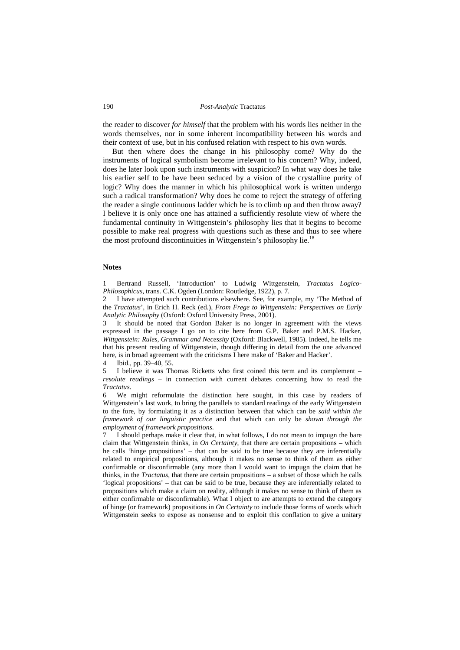the reader to discover *for himself* that the problem with his words lies neither in the words themselves, nor in some inherent incompatibility between his words and their context of use, but in his confused relation with respect to his own words.

 But then where does the change in his philosophy come? Why do the instruments of logical symbolism become irrelevant to his concern? Why, indeed, does he later look upon such instruments with suspicion? In what way does he take his earlier self to be have been seduced by a vision of the crystalline purity of logic? Why does the manner in which his philosophical work is written undergo such a radical transformation? Why does he come to reject the strategy of offering the reader a single continuous ladder which he is to climb up and then throw away? I believe it is only once one has attained a sufficiently resolute view of where the fundamental continuity in Wittgenstein's philosophy lies that it begins to become possible to make real progress with questions such as these and thus to see where the most profound discontinuities in Wittgenstein's philosophy lie.<sup>18</sup>

## **Notes**

1 Bertrand Russell, 'Introduction' to Ludwig Wittgenstein, *Tractatus Logico-Philosophicus*, trans. C.K. Ogden (London: Routledge, 1922), p. 7.

2 I have attempted such contributions elsewhere. See, for example, my 'The Method of the *Tractatus*', in Erich H. Reck (ed.), *From Frege to Wittgenstein: Perspectives on Early Analytic Philosophy* (Oxford: Oxford University Press, 2001).

3 It should be noted that Gordon Baker is no longer in agreement with the views expressed in the passage I go on to cite here from G.P. Baker and P.M.S. Hacker, *Wittgenstein: Rules, Grammar and Necessity* (Oxford: Blackwell, 1985). Indeed, he tells me that his present reading of Wittgenstein, though differing in detail from the one advanced here, is in broad agreement with the criticisms I here make of 'Baker and Hacker'.

4 Ibid., pp. 39–40, 55.<br>5 I believe it was Th I believe it was Thomas Ricketts who first coined this term and its complement – *resolute readings* – in connection with current debates concerning how to read the *Tractatus*.

6 We might reformulate the distinction here sought, in this case by readers of Wittgenstein's last work, to bring the parallels to standard readings of the early Wittgenstein to the fore, by formulating it as a distinction between that which can be *said within the framework of our linguistic practice* and that which can only be *shown through the employment of framework propositions*.

7 I should perhaps make it clear that, in what follows, I do not mean to impugn the bare claim that Wittgenstein thinks, in *On Certainty*, that there are certain propositions – which he calls 'hinge propositions' – that can be said to be true because they are inferentially related to empirical propositions, although it makes no sense to think of them as either confirmable or disconfirmable (any more than I would want to impugn the claim that he thinks, in the *Tractatus*, that there are certain propositions – a subset of those which he calls 'logical propositions' – that can be said to be true, because they are inferentially related to propositions which make a claim on reality, although it makes no sense to think of them as either confirmable or disconfirmable). What I object to are attempts to extend the category of hinge (or framework) propositions in *On Certainty* to include those forms of words which Wittgenstein seeks to expose as nonsense and to exploit this conflation to give a unitary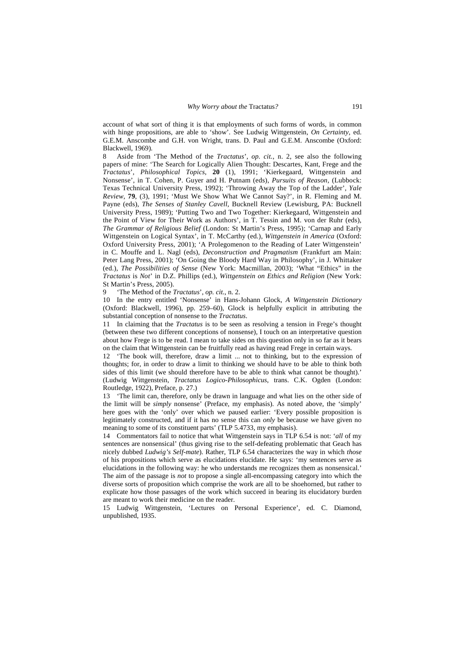account of what sort of thing it is that employments of such forms of words, in common with hinge propositions, are able to 'show'. See Ludwig Wittgenstein, *On Certainty*, ed. G.E.M. Anscombe and G.H. von Wright, trans. D. Paul and G.E.M. Anscombe (Oxford: Blackwell, 1969).

8 Aside from 'The Method of the *Tractatus*', *op. cit.*, n. 2, see also the following papers of mine: 'The Search for Logically Alien Thought: Descartes, Kant, Frege and the *Tractatus*', *Philosophical Topics*, **20** (1), 1991; 'Kierkegaard, Wittgenstein and Nonsense', in T. Cohen, P. Guyer and H. Putnam (eds), *Pursuits of Reason*, (Lubbock: Texas Technical University Press, 1992); 'Throwing Away the Top of the Ladder', *Yale Review*, **79**, (3), 1991; 'Must We Show What We Cannot Say?', in R. Fleming and M. Payne (eds), *The Senses of Stanley Cavell*, Bucknell Review (Lewisburg, PA: Bucknell University Press, 1989); 'Putting Two and Two Together: Kierkegaard, Wittgenstein and the Point of View for Their Work as Authors', in T. Tessin and M. von der Ruhr (eds), *The Grammar of Religious Belief* (London: St Martin's Press, 1995); 'Carnap and Early Wittgenstein on Logical Syntax', in T. McCarthy (ed.), *Wittgenstein in America* (Oxford: Oxford University Press, 2001); 'A Prolegomenon to the Reading of Later Wittgenstein' in C. Mouffe and L. Nagl (eds), *Deconstruction and Pragmatism* (Frankfurt am Main: Peter Lang Press, 2001); 'On Going the Bloody Hard Way in Philosophy', in J. Whittaker (ed.), *The Possibilities of Sense* (New York: Macmillan, 2003); 'What "Ethics" in the *Tractatus* is *Not*' in D.Z. Phillips (ed.), *Wittgenstein on Ethics and Religion* (New York: St Martin's Press, 2005).

9 'The Method of the *Tractatus*', *op. cit.*, n. 2.

10 In the entry entitled 'Nonsense' in Hans-Johann Glock, *A Wittgenstein Dictionary*  (Oxford: Blackwell, 1996), pp. 259–60), Glock is helpfully explicit in attributing the substantial conception of nonsense to the *Tractatus*.

11 In claiming that the *Tractatus* is to be seen as resolving a tension in Frege's thought (between these two different conceptions of nonsense), I touch on an interpretative question about how Frege is to be read. I mean to take sides on this question only in so far as it bears on the claim that Wittgenstein can be fruitfully read as having read Frege in certain ways.

12 'The book will, therefore, draw a limit ... not to thinking, but to the expression of thoughts; for, in order to draw a limit to thinking we should have to be able to think both sides of this limit (we should therefore have to be able to think what cannot be thought).' (Ludwig Wittgenstein, *Tractatus Logico-Philosophicus*, trans. C.K. Ogden (London: Routledge, 1922), Preface, p. 27.)

13 'The limit can, therefore, only be drawn in language and what lies on the other side of the limit will be *simply* nonsense' (Preface, my emphasis). As noted above, the 'simply' here goes with the 'only' over which we paused earlier: 'Every possible proposition is legitimately constructed, and if it has no sense this can *only* be because we have given no meaning to some of its constituent parts' (TLP 5.4733, my emphasis).

14 Commentators fail to notice that what Wittgenstein says in TLP 6.54 is not: '*all* of my sentences are nonsensical' (thus giving rise to the self-defeating problematic that Geach has nicely dubbed *Ludwig's Self-mate*). Rather, TLP 6.54 characterizes the way in which *those* of his propositions which serve as elucidations elucidate. He says: 'my sentences serve as elucidations in the following way: he who understands me recognizes them as nonsensical.' The aim of the passage is *not* to propose a single all-encompassing category into which the diverse sorts of proposition which comprise the work are all to be shoehorned, but rather to explicate how those passages of the work which succeed in bearing its elucidatory burden are meant to work their medicine on the reader.

15 Ludwig Wittgenstein, 'Lectures on Personal Experience', ed. C. Diamond, unpublished, 1935.